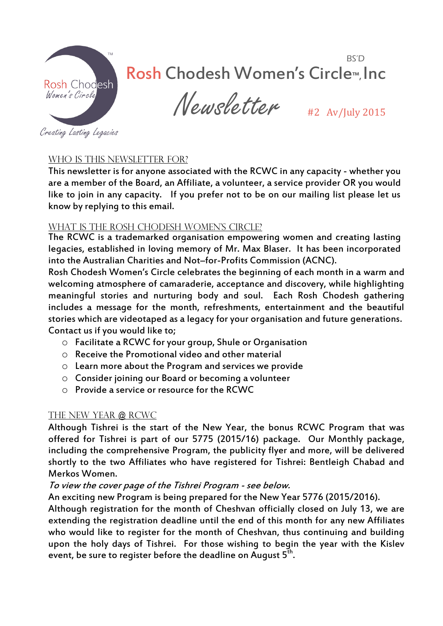

## BS'D Rosh Chodesh Women's Circle™, Inc

 $Newsletter$   $_{\text{\#2}$  Av/July 2015

Creating Lasting Legacies

#### WHO IS THIS NEWSLETTER FOR?

This newsletter is for anyone associated with the RCWC in any capacity - whether you are a member of the Board, an Affiliate, a volunteer, a service provider OR you would like to join in any capacity. If you prefer not to be on our mailing list please let us know by replying to this email.

#### WHAT IS THE ROSH CHODESH WOMEN'S CIRCLE?

The RCWC is a trademarked organisation empowering women and creating lasting legacies, established in loving memory of Mr. Max Blaser. It has been incorporated into the Australian Charities and Not–for-Profits Commission (ACNC).

Rosh Chodesh Women's Circle celebrates the beginning of each month in a warm and welcoming atmosphere of camaraderie, acceptance and discovery, while highlighting meaningful stories and nurturing body and soul. Each Rosh Chodesh gathering includes a message for the month, refreshments, entertainment and the beautiful stories which are videotaped as a legacy for your organisation and future generations. Contact us if you would like to;

- o Facilitate a RCWC for your group, Shule or Organisation
- o Receive the Promotional video and other material
- o Learn more about the Program and services we provide
- o Consider joining our Board or becoming a volunteer
- o Provide a service or resource for the RCWC

#### The New Year @ RCWC

Although Tishrei is the start of the New Year, the bonus RCWC Program that was offered for Tishrei is part of our 5775 (2015/16) package. Our Monthly package, including the comprehensive Program, the publicity flyer and more, will be delivered shortly to the two Affiliates who have registered for Tishrei: Bentleigh Chabad and Merkos Women.

#### To view the cover page of the Tishrei Program - see below.

An exciting new Program is being prepared for the New Year 5776 (2015/2016).

Although registration for the month of Cheshvan officially closed on July 13, we are extending the registration deadline until the end of this month for any new Affiliates who would like to register for the month of Cheshvan, thus continuing and building upon the holy days of Tishrei. For those wishing to begin the year with the Kislev event, be sure to register before the deadline on August  $5^{\bar{t}h}$ .